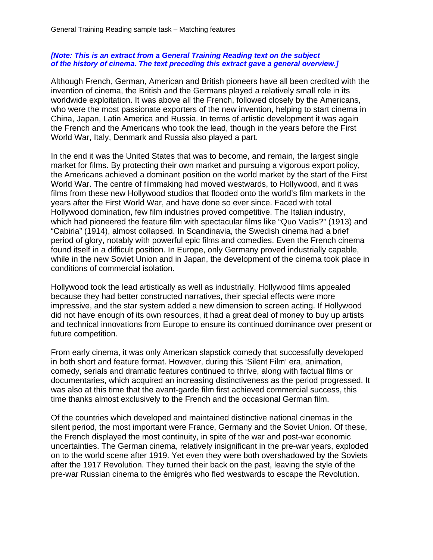## *[Note: This is an extract from a General Training Reading text on the subject of the history of cinema. The text preceding this extract gave a general overview.]*

Although French, German, American and British pioneers have all been credited with the invention of cinema, the British and the Germans played a relatively small role in its worldwide exploitation. It was above all the French, followed closely by the Americans, who were the most passionate exporters of the new invention, helping to start cinema in China, Japan, Latin America and Russia. In terms of artistic development it was again the French and the Americans who took the lead, though in the years before the First World War, Italy, Denmark and Russia also played a part.

In the end it was the United States that was to become, and remain, the largest single market for films. By protecting their own market and pursuing a vigorous export policy, the Americans achieved a dominant position on the world market by the start of the First World War. The centre of filmmaking had moved westwards, to Hollywood, and it was films from these new Hollywood studios that flooded onto the world's film markets in the years after the First World War, and have done so ever since. Faced with total Hollywood domination, few film industries proved competitive. The Italian industry, which had pioneered the feature film with spectacular films like "Quo Vadis?" (1913) and "Cabiria" (1914), almost collapsed. In Scandinavia, the Swedish cinema had a brief period of glory, notably with powerful epic films and comedies. Even the French cinema found itself in a difficult position. In Europe, only Germany proved industrially capable, while in the new Soviet Union and in Japan, the development of the cinema took place in conditions of commercial isolation.

Hollywood took the lead artistically as well as industrially. Hollywood films appealed because they had better constructed narratives, their special effects were more impressive, and the star system added a new dimension to screen acting. If Hollywood did not have enough of its own resources, it had a great deal of money to buy up artists and technical innovations from Europe to ensure its continued dominance over present or future competition.

From early cinema, it was only American slapstick comedy that successfully developed in both short and feature format. However, during this 'Silent Film' era, animation, comedy, serials and dramatic features continued to thrive, along with factual films or documentaries, which acquired an increasing distinctiveness as the period progressed. It was also at this time that the avant-garde film first achieved commercial success, this time thanks almost exclusively to the French and the occasional German film.

Of the countries which developed and maintained distinctive national cinemas in the silent period, the most important were France, Germany and the Soviet Union. Of these, the French displayed the most continuity, in spite of the war and post-war economic uncertainties. The German cinema, relatively insignificant in the pre-war years, exploded on to the world scene after 1919. Yet even they were both overshadowed by the Soviets after the 1917 Revolution. They turned their back on the past, leaving the style of the pre-war Russian cinema to the émigrés who fled westwards to escape the Revolution.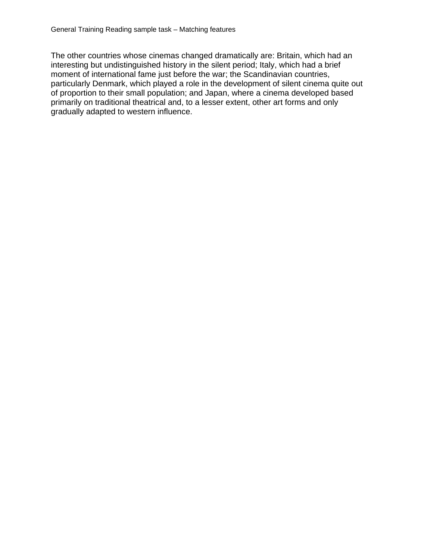The other countries whose cinemas changed dramatically are: Britain, which had an interesting but undistinguished history in the silent period; Italy, which had a brief moment of international fame just before the war; the Scandinavian countries, particularly Denmark, which played a role in the development of silent cinema quite out of proportion to their small population; and Japan, where a cinema developed based primarily on traditional theatrical and, to a lesser extent, other art forms and only gradually adapted to western influence.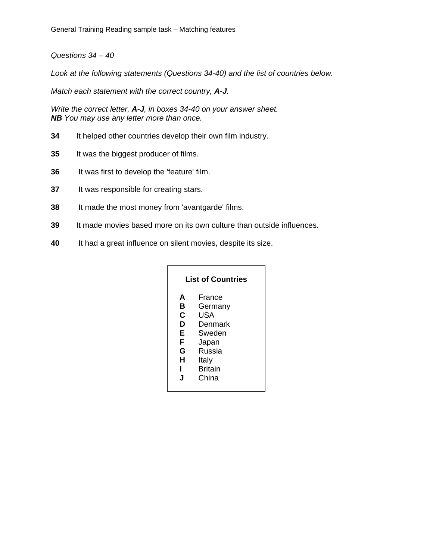*Questions 34 – 40* 

*Look at the following statements (Questions 34-40) and the list of countries below.* 

*Match each statement with the correct country, A-J.* 

*Write the correct letter, A-J, in boxes 34-40 on your answer sheet. NB You may use any letter more than once.* 

- **34** It helped other countries develop their own film industry.
- **35** It was the biggest producer of films.
- **36** It was first to develop the 'feature' film.
- **37** It was responsible for creating stars.
- **38** It made the most money from 'avantgarde' films.
- **39** It made movies based more on its own culture than outside influences.
- **40** It had a great influence on silent movies, despite its size.

| <b>List of Countries</b>                  |                                                                                                      |
|-------------------------------------------|------------------------------------------------------------------------------------------------------|
| A<br>в<br>С<br>D<br>Е<br>F<br>G<br>н<br>J | France<br>Germany<br>USA<br>Denmark<br>Sweden<br>Japan<br>Russia<br>Italy<br><b>Britain</b><br>China |